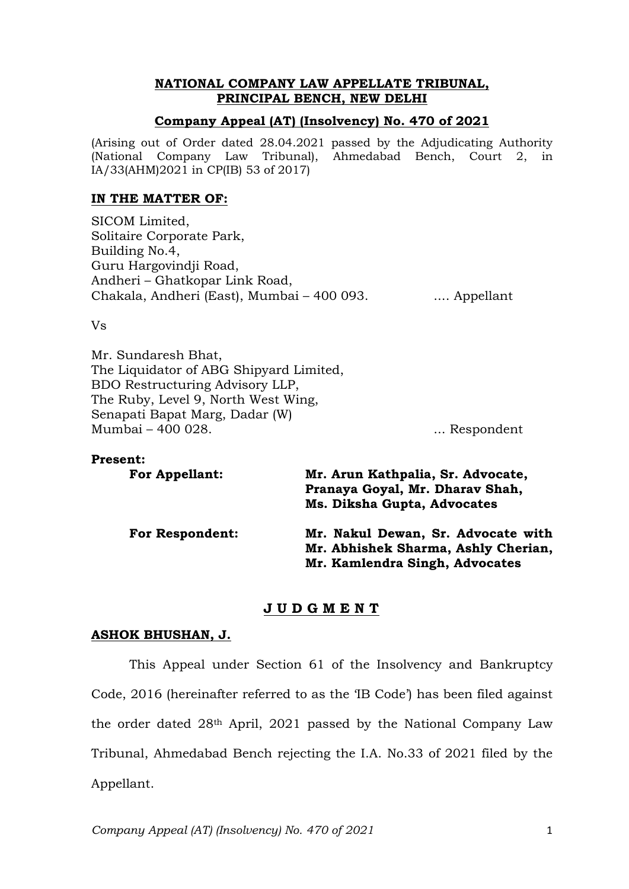# **NATIONAL COMPANY LAW APPELLATE TRIBUNAL, PRINCIPAL BENCH, NEW DELHI**

# **Company Appeal (AT) (Insolvency) No. 470 of 2021**

(Arising out of Order dated 28.04.2021 passed by the Adjudicating Authority (National Company Law Tribunal), Ahmedabad Bench, Court 2, in IA/33(AHM)2021 in CP(IB) 53 of 2017)

### **IN THE MATTER OF:**

SICOM Limited, Solitaire Corporate Park, Building No.4, Guru Hargovindji Road, Andheri – Ghatkopar Link Road, Chakala, Andheri (East), Mumbai – 400 093. .... Appellant

Vs

Mr. Sundaresh Bhat, The Liquidator of ABG Shipyard Limited, BDO Restructuring Advisory LLP, The Ruby, Level 9, North West Wing, Senapati Bapat Marg, Dadar (W) Mumbai – 400 028. ... Respondent

| <b>Present:</b>        |                                     |
|------------------------|-------------------------------------|
| <b>For Appellant:</b>  | Mr. Arun Kathpalia, Sr. Advocate,   |
|                        | Pranaya Goyal, Mr. Dharav Shah,     |
|                        | Ms. Diksha Gupta, Advocates         |
| <b>For Respondent:</b> | Mr. Nakul Dewan, Sr. Advocate with  |
|                        | Mr. Abhishek Sharma, Ashly Cherian, |
|                        | Mr. Kamlendra Singh, Advocates      |

# **J U D G M E N T**

# **ASHOK BHUSHAN, J.**

This Appeal under Section 61 of the Insolvency and Bankruptcy Code, 2016 (hereinafter referred to as the 'IB Code') has been filed against the order dated 28th April, 2021 passed by the National Company Law Tribunal, Ahmedabad Bench rejecting the I.A. No.33 of 2021 filed by the Appellant.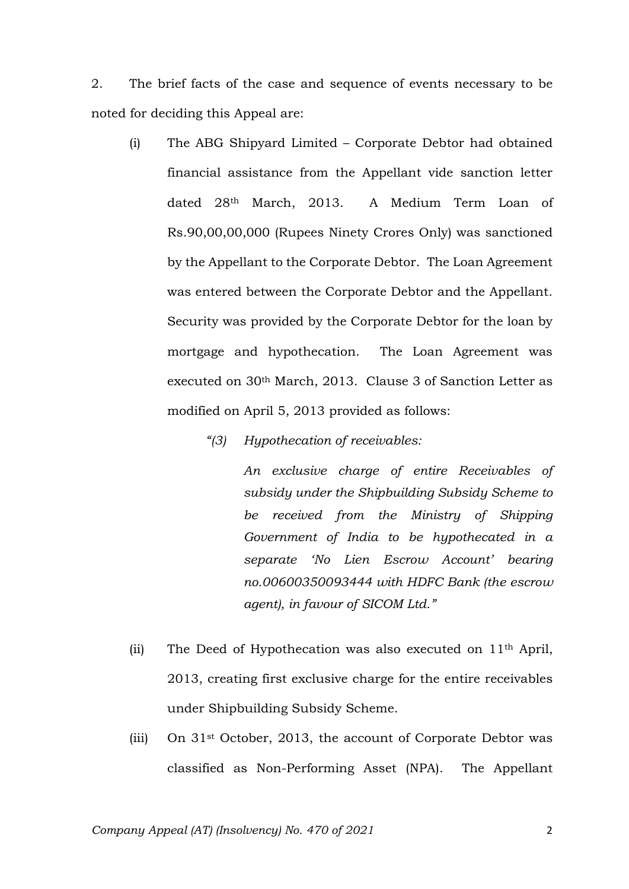2. The brief facts of the case and sequence of events necessary to be noted for deciding this Appeal are:

- (i) The ABG Shipyard Limited Corporate Debtor had obtained financial assistance from the Appellant vide sanction letter dated 28th March, 2013. A Medium Term Loan of Rs.90,00,00,000 (Rupees Ninety Crores Only) was sanctioned by the Appellant to the Corporate Debtor. The Loan Agreement was entered between the Corporate Debtor and the Appellant. Security was provided by the Corporate Debtor for the loan by mortgage and hypothecation. The Loan Agreement was executed on 30th March, 2013. Clause 3 of Sanction Letter as modified on April 5, 2013 provided as follows:
	- *"(3) Hypothecation of receivables:*

*An exclusive charge of entire Receivables of subsidy under the Shipbuilding Subsidy Scheme to be received from the Ministry of Shipping Government of India to be hypothecated in a separate 'No Lien Escrow Account' bearing no.00600350093444 with HDFC Bank (the escrow agent), in favour of SICOM Ltd."*

- (ii) The Deed of Hypothecation was also executed on  $11<sup>th</sup>$  April, 2013, creating first exclusive charge for the entire receivables under Shipbuilding Subsidy Scheme.
- (iii) On 31st October, 2013, the account of Corporate Debtor was classified as Non-Performing Asset (NPA). The Appellant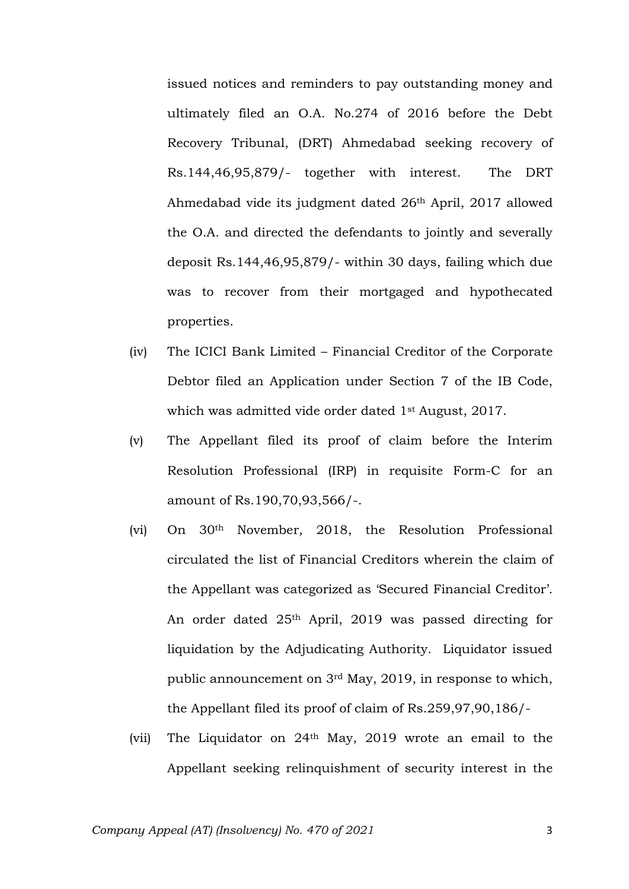issued notices and reminders to pay outstanding money and ultimately filed an O.A. No.274 of 2016 before the Debt Recovery Tribunal, (DRT) Ahmedabad seeking recovery of Rs.144,46,95,879/- together with interest. The DRT Ahmedabad vide its judgment dated 26th April, 2017 allowed the O.A. and directed the defendants to jointly and severally deposit Rs.144,46,95,879/- within 30 days, failing which due was to recover from their mortgaged and hypothecated properties.

- (iv) The ICICI Bank Limited Financial Creditor of the Corporate Debtor filed an Application under Section 7 of the IB Code, which was admitted vide order dated 1st August, 2017.
- (v) The Appellant filed its proof of claim before the Interim Resolution Professional (IRP) in requisite Form-C for an amount of Rs.190,70,93,566/-.
- (vi) On 30th November, 2018, the Resolution Professional circulated the list of Financial Creditors wherein the claim of the Appellant was categorized as 'Secured Financial Creditor'. An order dated 25th April, 2019 was passed directing for liquidation by the Adjudicating Authority. Liquidator issued public announcement on 3rd May, 2019, in response to which, the Appellant filed its proof of claim of Rs.259,97,90,186/-
- (vii) The Liquidator on 24th May, 2019 wrote an email to the Appellant seeking relinquishment of security interest in the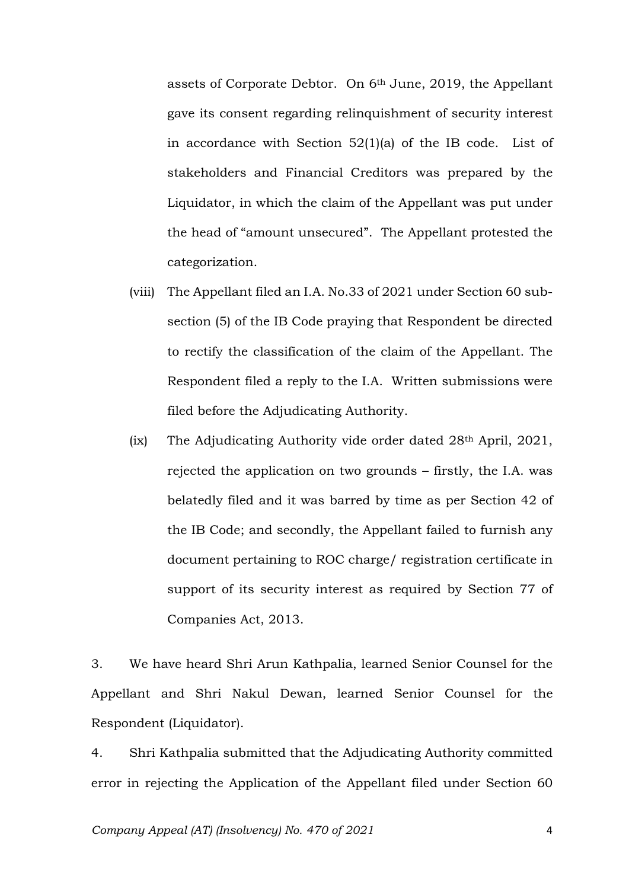assets of Corporate Debtor. On 6th June, 2019, the Appellant gave its consent regarding relinquishment of security interest in accordance with Section 52(1)(a) of the IB code. List of stakeholders and Financial Creditors was prepared by the Liquidator, in which the claim of the Appellant was put under the head of "amount unsecured". The Appellant protested the categorization.

- (viii) The Appellant filed an I.A. No.33 of 2021 under Section 60 subsection (5) of the IB Code praying that Respondent be directed to rectify the classification of the claim of the Appellant. The Respondent filed a reply to the I.A. Written submissions were filed before the Adjudicating Authority.
- (ix) The Adjudicating Authority vide order dated 28<sup>th</sup> April, 2021, rejected the application on two grounds – firstly, the I.A. was belatedly filed and it was barred by time as per Section 42 of the IB Code; and secondly, the Appellant failed to furnish any document pertaining to ROC charge/ registration certificate in support of its security interest as required by Section 77 of Companies Act, 2013.

3. We have heard Shri Arun Kathpalia, learned Senior Counsel for the Appellant and Shri Nakul Dewan, learned Senior Counsel for the Respondent (Liquidator).

4. Shri Kathpalia submitted that the Adjudicating Authority committed error in rejecting the Application of the Appellant filed under Section 60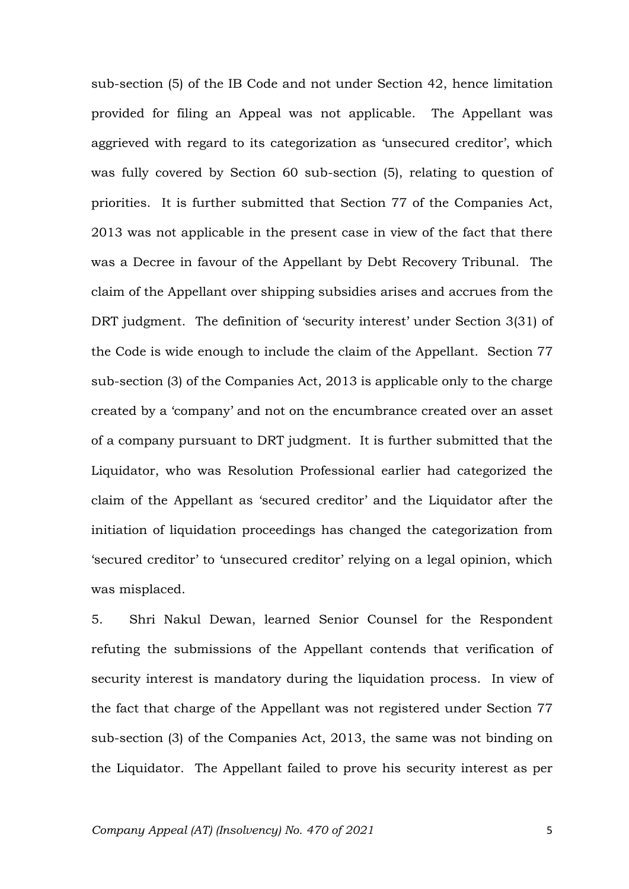sub-section (5) of the IB Code and not under Section 42, hence limitation provided for filing an Appeal was not applicable. The Appellant was aggrieved with regard to its categorization as 'unsecured creditor', which was fully covered by Section 60 sub-section (5), relating to question of priorities. It is further submitted that Section 77 of the Companies Act, 2013 was not applicable in the present case in view of the fact that there was a Decree in favour of the Appellant by Debt Recovery Tribunal. The claim of the Appellant over shipping subsidies arises and accrues from the DRT judgment. The definition of 'security interest' under Section 3(31) of the Code is wide enough to include the claim of the Appellant. Section 77 sub-section (3) of the Companies Act, 2013 is applicable only to the charge created by a 'company' and not on the encumbrance created over an asset of a company pursuant to DRT judgment. It is further submitted that the Liquidator, who was Resolution Professional earlier had categorized the claim of the Appellant as 'secured creditor' and the Liquidator after the initiation of liquidation proceedings has changed the categorization from 'secured creditor' to 'unsecured creditor' relying on a legal opinion, which was misplaced.

5. Shri Nakul Dewan, learned Senior Counsel for the Respondent refuting the submissions of the Appellant contends that verification of security interest is mandatory during the liquidation process. In view of the fact that charge of the Appellant was not registered under Section 77 sub-section (3) of the Companies Act, 2013, the same was not binding on the Liquidator. The Appellant failed to prove his security interest as per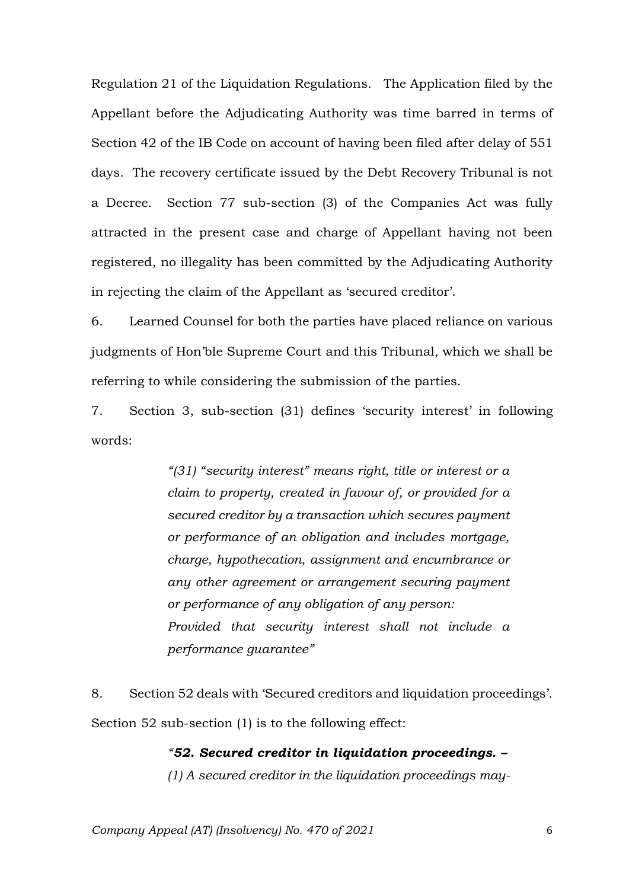Regulation 21 of the Liquidation Regulations. The Application filed by the Appellant before the Adjudicating Authority was time barred in terms of Section 42 of the IB Code on account of having been filed after delay of 551 days. The recovery certificate issued by the Debt Recovery Tribunal is not a Decree. Section 77 sub-section (3) of the Companies Act was fully attracted in the present case and charge of Appellant having not been registered, no illegality has been committed by the Adjudicating Authority in rejecting the claim of the Appellant as 'secured creditor'.

6. Learned Counsel for both the parties have placed reliance on various judgments of Hon'ble Supreme Court and this Tribunal, which we shall be referring to while considering the submission of the parties.

7. Section 3, sub-section (31) defines 'security interest' in following words:

> *"(31) "security interest" means right, title or interest or a claim to property, created in favour of, or provided for a secured creditor by a transaction which secures payment or performance of an obligation and includes mortgage, charge, hypothecation, assignment and encumbrance or any other agreement or arrangement securing payment or performance of any obligation of any person: Provided that security interest shall not include a performance guarantee"*

8. Section 52 deals with 'Secured creditors and liquidation proceedings'. Section 52 sub-section (1) is to the following effect:

> *"52. Secured creditor in liquidation proceedings. – (1) A secured creditor in the liquidation proceedings may-*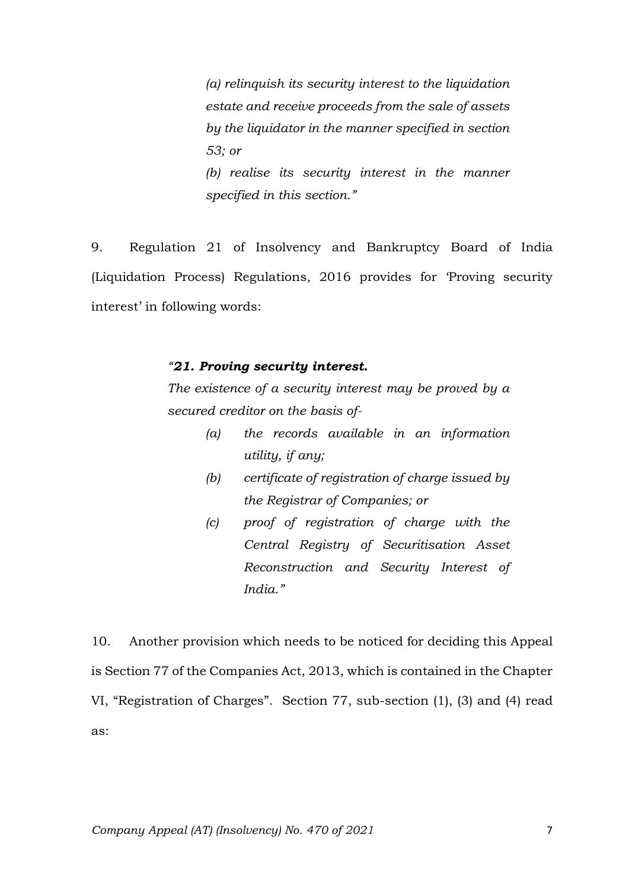*(a) relinquish its security interest to the liquidation estate and receive proceeds from the sale of assets by the liquidator in the manner specified in section 53; or (b) realise its security interest in the manner specified in this section."*

9. Regulation 21 of Insolvency and Bankruptcy Board of India (Liquidation Process) Regulations, 2016 provides for 'Proving security interest' in following words:

#### *"21. Proving security interest.*

*The existence of a security interest may be proved by a secured creditor on the basis of-*

- *(a) the records available in an information utility, if any;*
- *(b) certificate of registration of charge issued by the Registrar of Companies; or*
- *(c) proof of registration of charge with the Central Registry of Securitisation Asset Reconstruction and Security Interest of India."*

10. Another provision which needs to be noticed for deciding this Appeal is Section 77 of the Companies Act, 2013, which is contained in the Chapter VI, "Registration of Charges". Section 77, sub-section (1), (3) and (4) read as: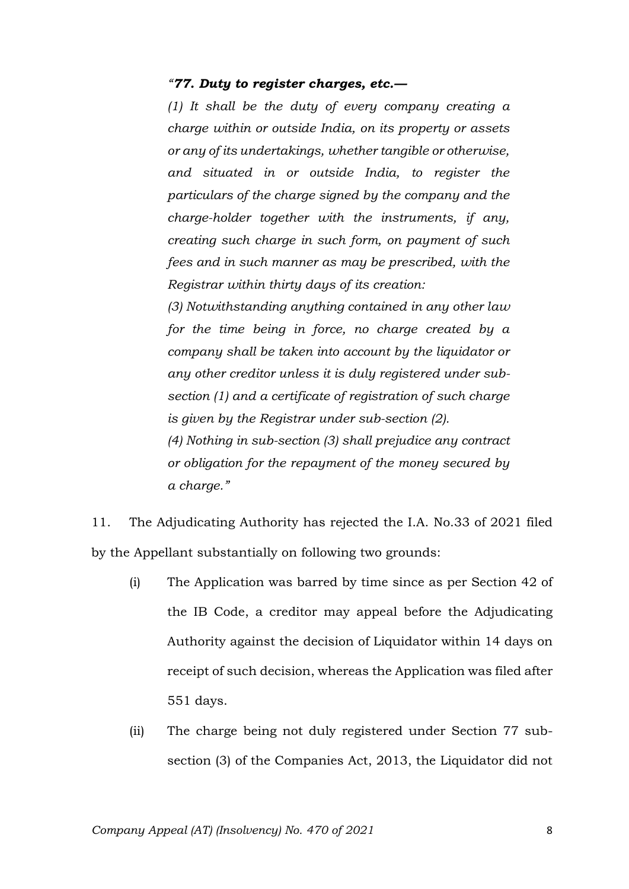#### *"77. Duty to register charges, etc.—*

*(1) It shall be the duty of every company creating a charge within or outside India, on its property or assets or any of its undertakings, whether tangible or otherwise, and situated in or outside India, to register the particulars of the charge signed by the company and the charge-holder together with the instruments, if any, creating such charge in such form, on payment of such fees and in such manner as may be prescribed, with the Registrar within thirty days of its creation:*

*(3) Notwithstanding anything contained in any other law for the time being in force, no charge created by a company shall be taken into account by the liquidator or any other creditor unless it is duly registered under subsection (1) and a certificate of registration of such charge is given by the Registrar under sub-section (2).*

*(4) Nothing in sub-section (3) shall prejudice any contract or obligation for the repayment of the money secured by a charge."*

11. The Adjudicating Authority has rejected the I.A. No.33 of 2021 filed by the Appellant substantially on following two grounds:

- (i) The Application was barred by time since as per Section 42 of the IB Code, a creditor may appeal before the Adjudicating Authority against the decision of Liquidator within 14 days on receipt of such decision, whereas the Application was filed after 551 days.
- (ii) The charge being not duly registered under Section 77 subsection (3) of the Companies Act, 2013, the Liquidator did not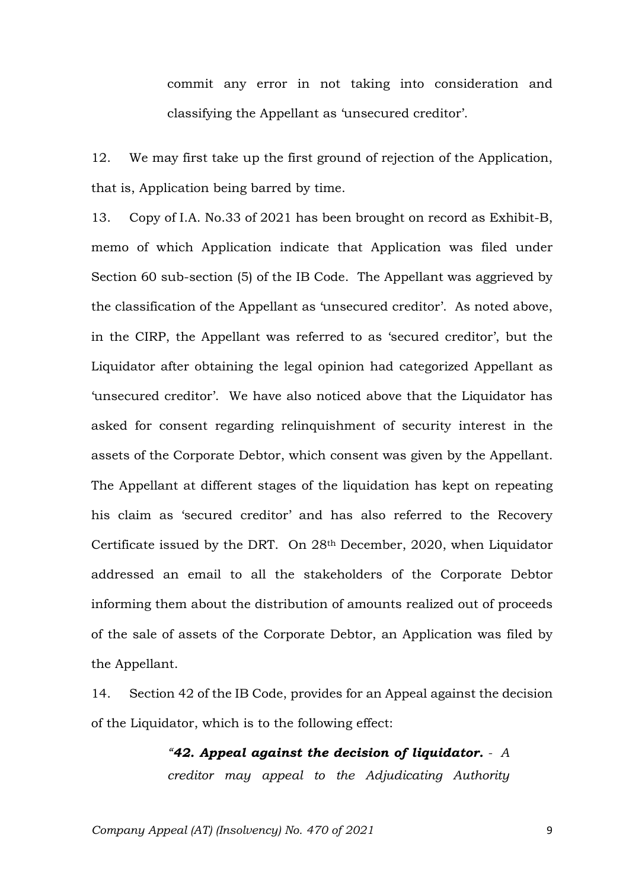commit any error in not taking into consideration and classifying the Appellant as 'unsecured creditor'.

12. We may first take up the first ground of rejection of the Application, that is, Application being barred by time.

13. Copy of I.A. No.33 of 2021 has been brought on record as Exhibit-B, memo of which Application indicate that Application was filed under Section 60 sub-section (5) of the IB Code. The Appellant was aggrieved by the classification of the Appellant as 'unsecured creditor'. As noted above, in the CIRP, the Appellant was referred to as 'secured creditor', but the Liquidator after obtaining the legal opinion had categorized Appellant as 'unsecured creditor'. We have also noticed above that the Liquidator has asked for consent regarding relinquishment of security interest in the assets of the Corporate Debtor, which consent was given by the Appellant. The Appellant at different stages of the liquidation has kept on repeating his claim as 'secured creditor' and has also referred to the Recovery Certificate issued by the DRT. On 28th December, 2020, when Liquidator addressed an email to all the stakeholders of the Corporate Debtor informing them about the distribution of amounts realized out of proceeds of the sale of assets of the Corporate Debtor, an Application was filed by the Appellant.

14. Section 42 of the IB Code, provides for an Appeal against the decision of the Liquidator, which is to the following effect:

> *"42. Appeal against the decision of liquidator. - A creditor may appeal to the Adjudicating Authority*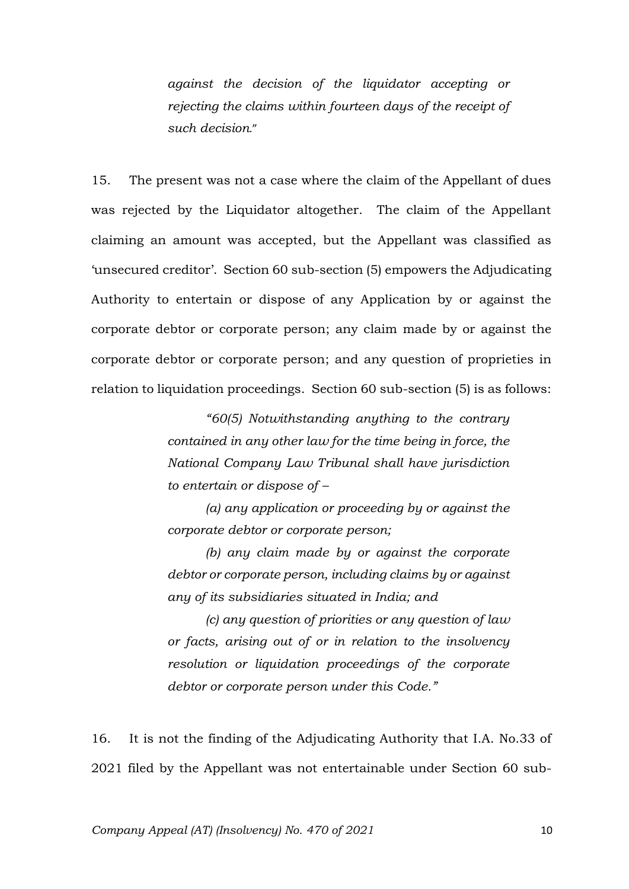*against the decision of the liquidator accepting or rejecting the claims within fourteen days of the receipt of such decision*."

15. The present was not a case where the claim of the Appellant of dues was rejected by the Liquidator altogether. The claim of the Appellant claiming an amount was accepted, but the Appellant was classified as 'unsecured creditor'. Section 60 sub-section (5) empowers the Adjudicating Authority to entertain or dispose of any Application by or against the corporate debtor or corporate person; any claim made by or against the corporate debtor or corporate person; and any question of proprieties in relation to liquidation proceedings. Section 60 sub-section (5) is as follows:

> *"60(5) Notwithstanding anything to the contrary contained in any other law for the time being in force, the National Company Law Tribunal shall have jurisdiction to entertain or dispose of –*

> *(a) any application or proceeding by or against the corporate debtor or corporate person;*

> *(b) any claim made by or against the corporate debtor or corporate person, including claims by or against any of its subsidiaries situated in India; and*

> *(c) any question of priorities or any question of law or facts, arising out of or in relation to the insolvency resolution or liquidation proceedings of the corporate debtor or corporate person under this Code."*

16. It is not the finding of the Adjudicating Authority that I.A. No.33 of 2021 filed by the Appellant was not entertainable under Section 60 sub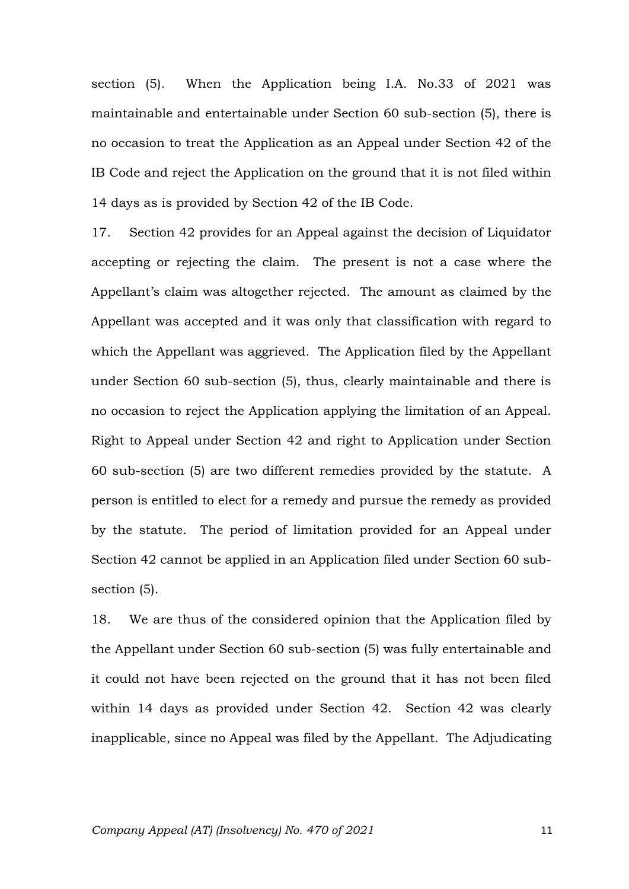section (5). When the Application being I.A. No.33 of 2021 was maintainable and entertainable under Section 60 sub-section (5), there is no occasion to treat the Application as an Appeal under Section 42 of the IB Code and reject the Application on the ground that it is not filed within 14 days as is provided by Section 42 of the IB Code.

17. Section 42 provides for an Appeal against the decision of Liquidator accepting or rejecting the claim. The present is not a case where the Appellant's claim was altogether rejected. The amount as claimed by the Appellant was accepted and it was only that classification with regard to which the Appellant was aggrieved. The Application filed by the Appellant under Section 60 sub-section (5), thus, clearly maintainable and there is no occasion to reject the Application applying the limitation of an Appeal. Right to Appeal under Section 42 and right to Application under Section 60 sub-section (5) are two different remedies provided by the statute. A person is entitled to elect for a remedy and pursue the remedy as provided by the statute. The period of limitation provided for an Appeal under Section 42 cannot be applied in an Application filed under Section 60 subsection (5).

18. We are thus of the considered opinion that the Application filed by the Appellant under Section 60 sub-section (5) was fully entertainable and it could not have been rejected on the ground that it has not been filed within 14 days as provided under Section 42. Section 42 was clearly inapplicable, since no Appeal was filed by the Appellant. The Adjudicating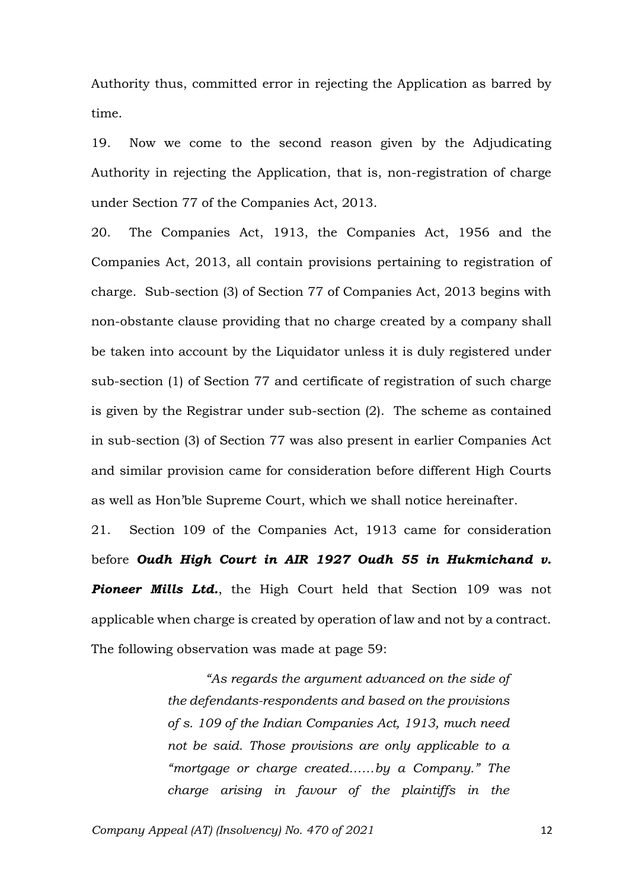Authority thus, committed error in rejecting the Application as barred by time.

19. Now we come to the second reason given by the Adjudicating Authority in rejecting the Application, that is, non-registration of charge under Section 77 of the Companies Act, 2013.

20. The Companies Act, 1913, the Companies Act, 1956 and the Companies Act, 2013, all contain provisions pertaining to registration of charge. Sub-section (3) of Section 77 of Companies Act, 2013 begins with non-obstante clause providing that no charge created by a company shall be taken into account by the Liquidator unless it is duly registered under sub-section (1) of Section 77 and certificate of registration of such charge is given by the Registrar under sub-section (2). The scheme as contained in sub-section (3) of Section 77 was also present in earlier Companies Act and similar provision came for consideration before different High Courts as well as Hon'ble Supreme Court, which we shall notice hereinafter.

21. Section 109 of the Companies Act, 1913 came for consideration before *Oudh High Court in AIR 1927 Oudh 55 in Hukmichand v. Pioneer Mills Ltd.*, the High Court held that Section 109 was not applicable when charge is created by operation of law and not by a contract. The following observation was made at page 59:

> *"As regards the argument advanced on the side of the defendants-respondents and based on the provisions of s. 109 of the Indian Companies Act, 1913, much need not be said. Those provisions are only applicable to a "mortgage or charge created……by a Company." The charge arising in favour of the plaintiffs in the*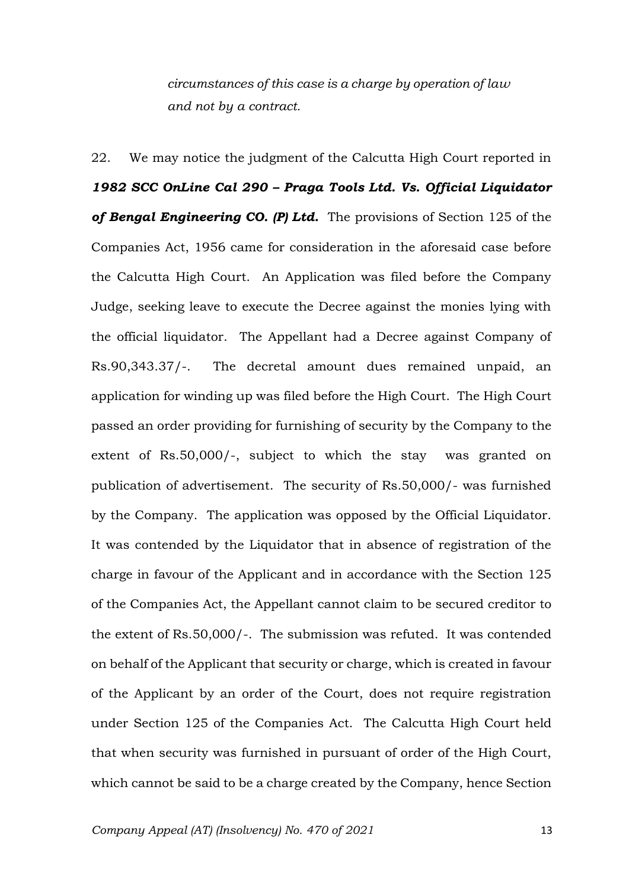*circumstances of this case is a charge by operation of law and not by a contract.*

22. We may notice the judgment of the Calcutta High Court reported in *1982 SCC OnLine Cal 290 – Praga Tools Ltd. Vs. Official Liquidator of Bengal Engineering CO. (P) Ltd.* The provisions of Section 125 of the Companies Act, 1956 came for consideration in the aforesaid case before the Calcutta High Court. An Application was filed before the Company Judge, seeking leave to execute the Decree against the monies lying with the official liquidator. The Appellant had a Decree against Company of Rs.90,343.37/-. The decretal amount dues remained unpaid, an application for winding up was filed before the High Court. The High Court passed an order providing for furnishing of security by the Company to the extent of Rs.50,000/-, subject to which the stay was granted on publication of advertisement. The security of Rs.50,000/- was furnished by the Company. The application was opposed by the Official Liquidator. It was contended by the Liquidator that in absence of registration of the charge in favour of the Applicant and in accordance with the Section 125 of the Companies Act, the Appellant cannot claim to be secured creditor to the extent of Rs.50,000/-. The submission was refuted. It was contended on behalf of the Applicant that security or charge, which is created in favour of the Applicant by an order of the Court, does not require registration under Section 125 of the Companies Act. The Calcutta High Court held that when security was furnished in pursuant of order of the High Court, which cannot be said to be a charge created by the Company, hence Section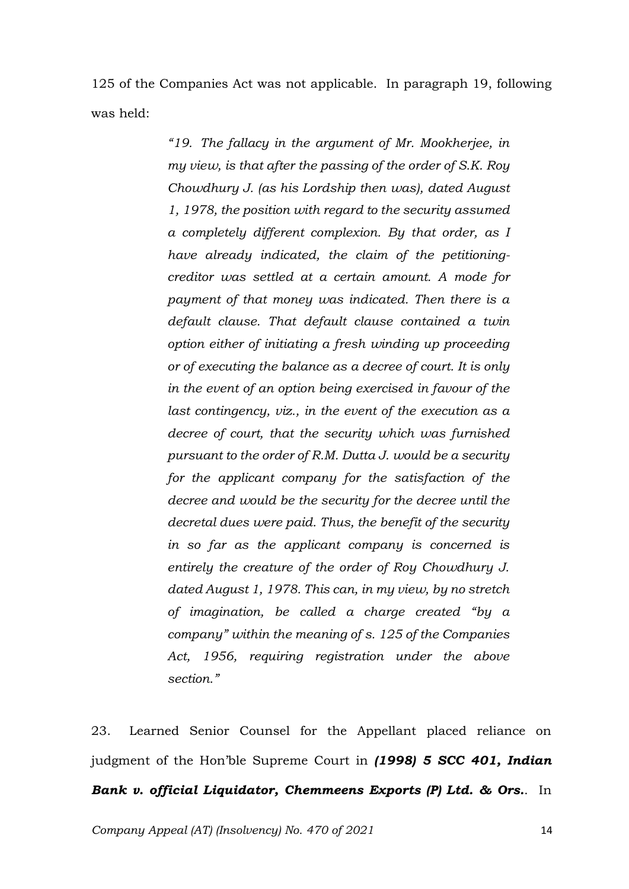125 of the Companies Act was not applicable. In paragraph 19, following was held:

> *"19. The fallacy in the argument of Mr. Mookherjee, in my view, is that after the passing of the order of S.K. Roy Chowdhury J. (as his Lordship then was), dated August 1, 1978, the position with regard to the security assumed a completely different complexion. By that order, as I have already indicated, the claim of the petitioningcreditor was settled at a certain amount. A mode for payment of that money was indicated. Then there is a default clause. That default clause contained a twin option either of initiating a fresh winding up proceeding or of executing the balance as a decree of court. It is only in the event of an option being exercised in favour of the last contingency, viz., in the event of the execution as a decree of court, that the security which was furnished pursuant to the order of R.M. Dutta J. would be a security for the applicant company for the satisfaction of the decree and would be the security for the decree until the decretal dues were paid. Thus, the benefit of the security in so far as the applicant company is concerned is entirely the creature of the order of Roy Chowdhury J. dated August 1, 1978. This can, in my view, by no stretch of imagination, be called a charge created "by a company" within the meaning of s. 125 of the Companies Act, 1956, requiring registration under the above section."*

23. Learned Senior Counsel for the Appellant placed reliance on judgment of the Hon'ble Supreme Court in *(1998) 5 SCC 401, Indian Bank v. official Liquidator, Chemmeens Exports (P) Ltd. & Ors.*. In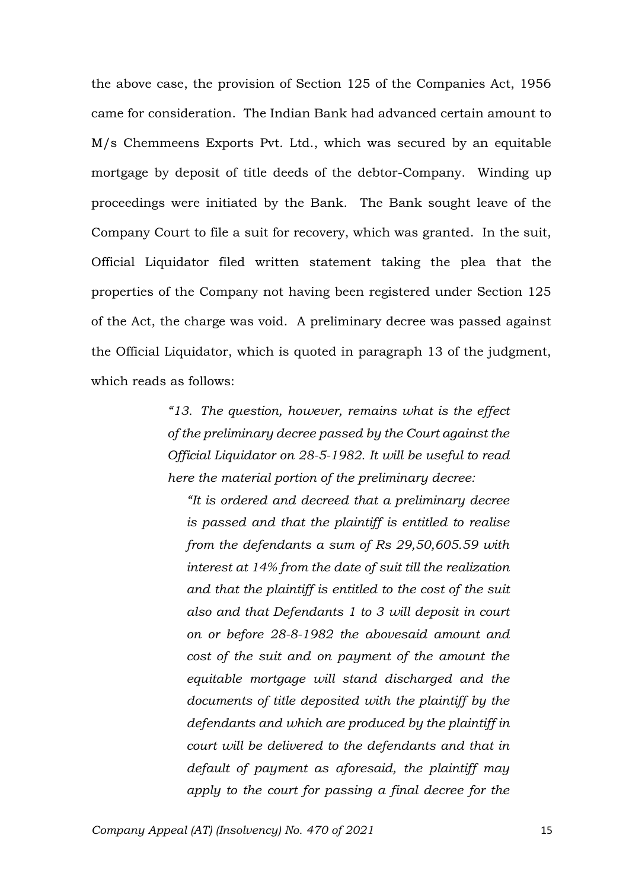the above case, the provision of Section 125 of the Companies Act, 1956 came for consideration. The Indian Bank had advanced certain amount to M/s Chemmeens Exports Pvt. Ltd., which was secured by an equitable mortgage by deposit of title deeds of the debtor-Company. Winding up proceedings were initiated by the Bank. The Bank sought leave of the Company Court to file a suit for recovery, which was granted. In the suit, Official Liquidator filed written statement taking the plea that the properties of the Company not having been registered under Section 125 of the Act, the charge was void. A preliminary decree was passed against the Official Liquidator, which is quoted in paragraph 13 of the judgment, which reads as follows:

> *"13. The question, however, remains what is the effect of the preliminary decree passed by the Court against the Official Liquidator on 28-5-1982. It will be useful to read here the material portion of the preliminary decree:*

*"It is ordered and decreed that a preliminary decree is passed and that the plaintiff is entitled to realise from the defendants a sum of Rs 29,50,605.59 with interest at 14% from the date of suit till the realization and that the plaintiff is entitled to the cost of the suit also and that Defendants 1 to 3 will deposit in court on or before 28-8-1982 the abovesaid amount and cost of the suit and on payment of the amount the equitable mortgage will stand discharged and the documents of title deposited with the plaintiff by the defendants and which are produced by the plaintiff in court will be delivered to the defendants and that in default of payment as aforesaid, the plaintiff may apply to the court for passing a final decree for the*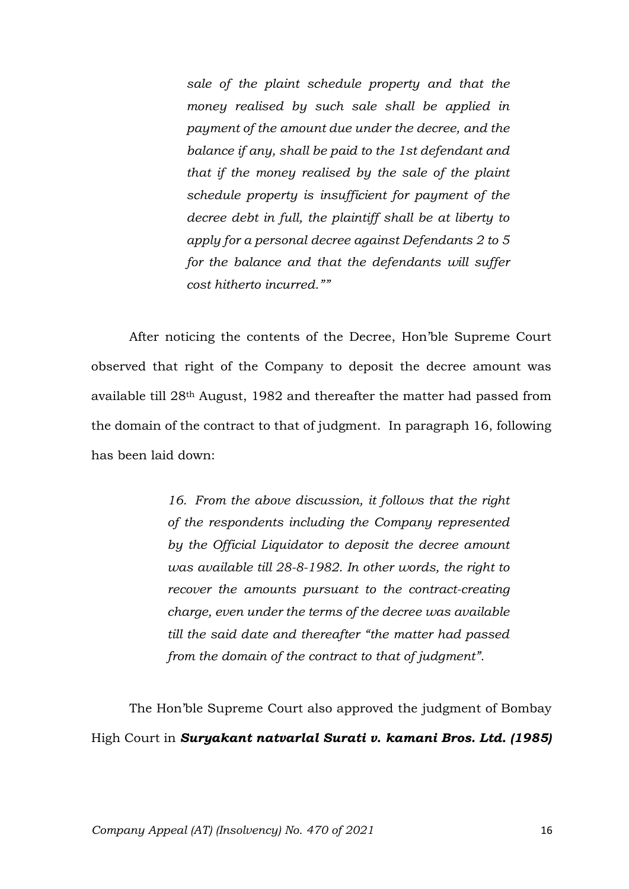*sale of the plaint schedule property and that the money realised by such sale shall be applied in payment of the amount due under the decree, and the balance if any, shall be paid to the 1st defendant and that if the money realised by the sale of the plaint schedule property is insufficient for payment of the decree debt in full, the plaintiff shall be at liberty to apply for a personal decree against Defendants 2 to 5 for the balance and that the defendants will suffer cost hitherto incurred.""*

After noticing the contents of the Decree, Hon'ble Supreme Court observed that right of the Company to deposit the decree amount was available till 28th August, 1982 and thereafter the matter had passed from the domain of the contract to that of judgment. In paragraph 16, following has been laid down:

> *16. From the above discussion, it follows that the right of the respondents including the Company represented by the Official Liquidator to deposit the decree amount was available till 28-8-1982. In other words, the right to recover the amounts pursuant to the contract-creating charge, even under the terms of the decree was available till the said date and thereafter "the matter had passed from the domain of the contract to that of judgment".*

The Hon'ble Supreme Court also approved the judgment of Bombay High Court in *Suryakant natvarlal Surati v. kamani Bros. Ltd. (1985)*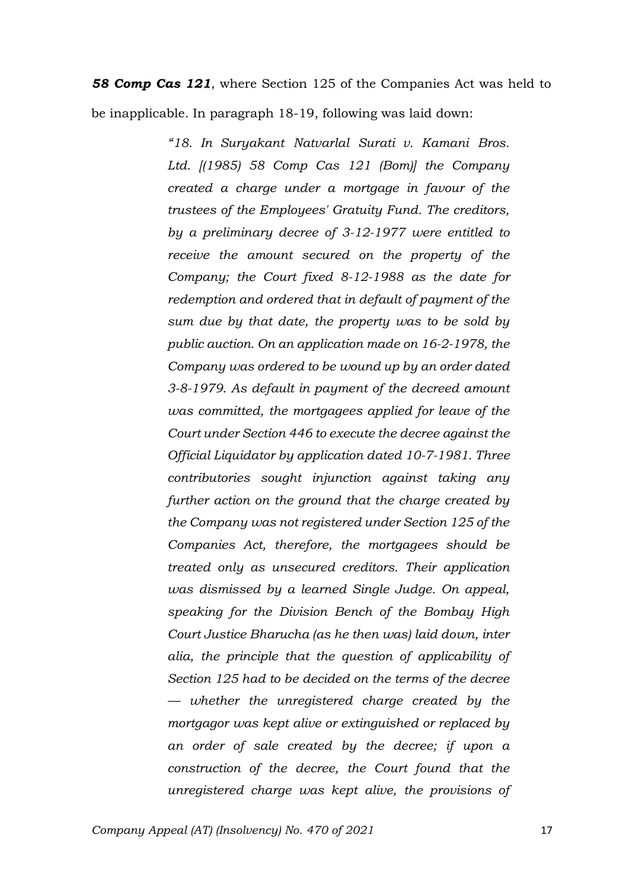*58 Comp Cas 121*, where Section 125 of the Companies Act was held to be inapplicable. In paragraph 18-19, following was laid down:

> *"18. In Suryakant Natvarlal Surati v. Kamani Bros. Ltd. [(1985) 58 Comp Cas 121 (Bom)] the Company created a charge under a mortgage in favour of the trustees of the Employees' Gratuity Fund. The creditors, by a preliminary decree of 3-12-1977 were entitled to receive the amount secured on the property of the Company; the Court fixed 8-12-1988 as the date for redemption and ordered that in default of payment of the sum due by that date, the property was to be sold by public auction. On an application made on 16-2-1978, the Company was ordered to be wound up by an order dated 3-8-1979. As default in payment of the decreed amount was committed, the mortgagees applied for leave of the Court under Section 446 to execute the decree against the Official Liquidator by application dated 10-7-1981. Three contributories sought injunction against taking any further action on the ground that the charge created by the Company was not registered under Section 125 of the Companies Act, therefore, the mortgagees should be treated only as unsecured creditors. Their application was dismissed by a learned Single Judge. On appeal, speaking for the Division Bench of the Bombay High Court Justice Bharucha (as he then was) laid down, inter alia, the principle that the question of applicability of Section 125 had to be decided on the terms of the decree — whether the unregistered charge created by the mortgagor was kept alive or extinguished or replaced by an order of sale created by the decree; if upon a construction of the decree, the Court found that the unregistered charge was kept alive, the provisions of*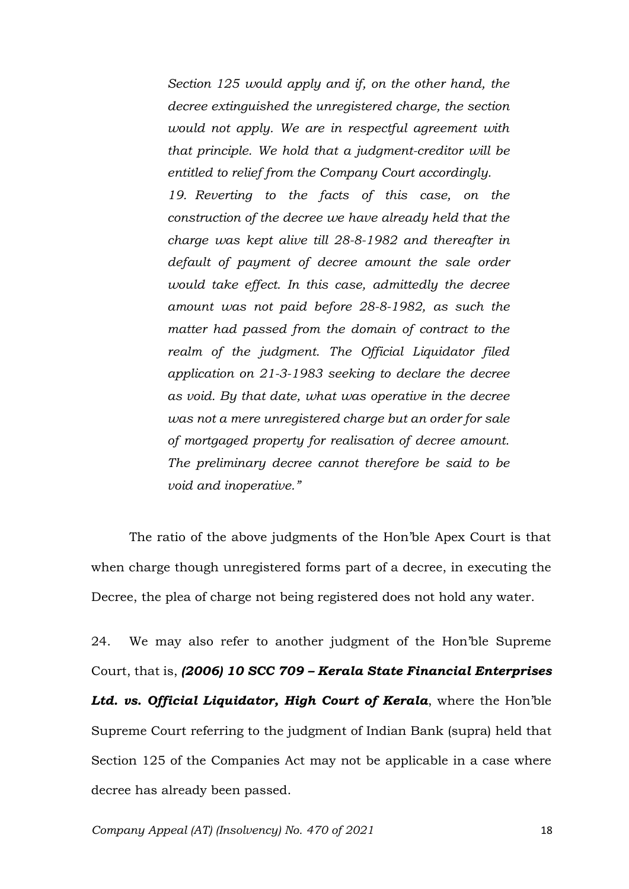*Section 125 would apply and if, on the other hand, the decree extinguished the unregistered charge, the section would not apply. We are in respectful agreement with that principle. We hold that a judgment-creditor will be entitled to relief from the Company Court accordingly.*

*19. Reverting to the facts of this case, on the construction of the decree we have already held that the charge was kept alive till 28-8-1982 and thereafter in default of payment of decree amount the sale order would take effect. In this case, admittedly the decree amount was not paid before 28-8-1982, as such the matter had passed from the domain of contract to the realm of the judgment. The Official Liquidator filed application on 21-3-1983 seeking to declare the decree as void. By that date, what was operative in the decree was not a mere unregistered charge but an order for sale of mortgaged property for realisation of decree amount. The preliminary decree cannot therefore be said to be void and inoperative."*

The ratio of the above judgments of the Hon'ble Apex Court is that when charge though unregistered forms part of a decree, in executing the Decree, the plea of charge not being registered does not hold any water.

24. We may also refer to another judgment of the Hon'ble Supreme Court, that is, *(2006) 10 SCC 709 – Kerala State Financial Enterprises Ltd. vs. Official Liquidator, High Court of Kerala*, where the Hon'ble Supreme Court referring to the judgment of Indian Bank (supra) held that Section 125 of the Companies Act may not be applicable in a case where decree has already been passed.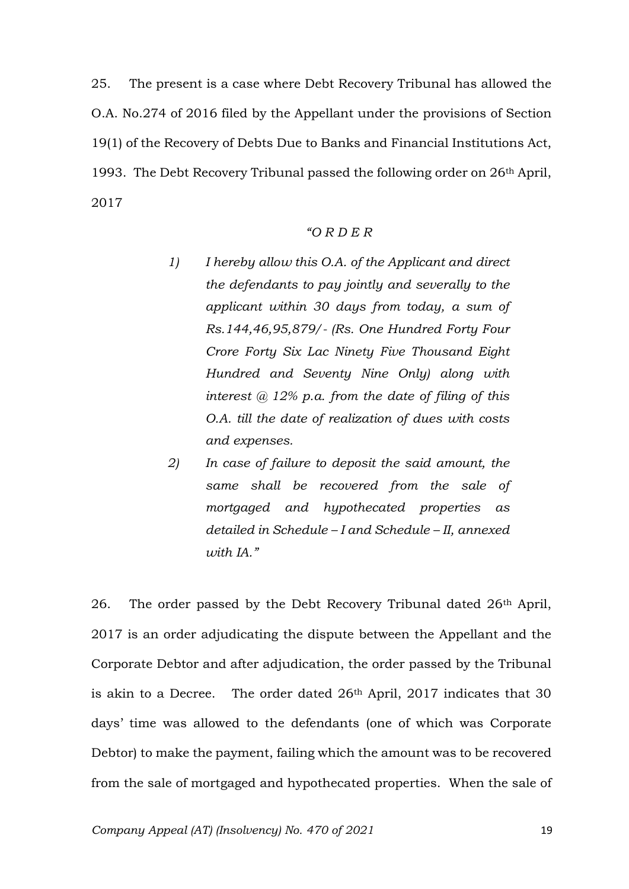25. The present is a case where Debt Recovery Tribunal has allowed the O.A. No.274 of 2016 filed by the Appellant under the provisions of Section 19(1) of the Recovery of Debts Due to Banks and Financial Institutions Act, 1993. The Debt Recovery Tribunal passed the following order on 26th April, 2017

### *"O R D E R*

- *1) I hereby allow this O.A. of the Applicant and direct the defendants to pay jointly and severally to the applicant within 30 days from today, a sum of Rs.144,46,95,879/- (Rs. One Hundred Forty Four Crore Forty Six Lac Ninety Five Thousand Eight Hundred and Seventy Nine Only) along with interest @ 12% p.a. from the date of filing of this O.A. till the date of realization of dues with costs and expenses.*
- *2) In case of failure to deposit the said amount, the same shall be recovered from the sale of mortgaged and hypothecated properties as detailed in Schedule – I and Schedule – II, annexed with IA."*

26. The order passed by the Debt Recovery Tribunal dated 26th April, 2017 is an order adjudicating the dispute between the Appellant and the Corporate Debtor and after adjudication, the order passed by the Tribunal is akin to a Decree. The order dated 26<sup>th</sup> April, 2017 indicates that 30 days' time was allowed to the defendants (one of which was Corporate Debtor) to make the payment, failing which the amount was to be recovered from the sale of mortgaged and hypothecated properties. When the sale of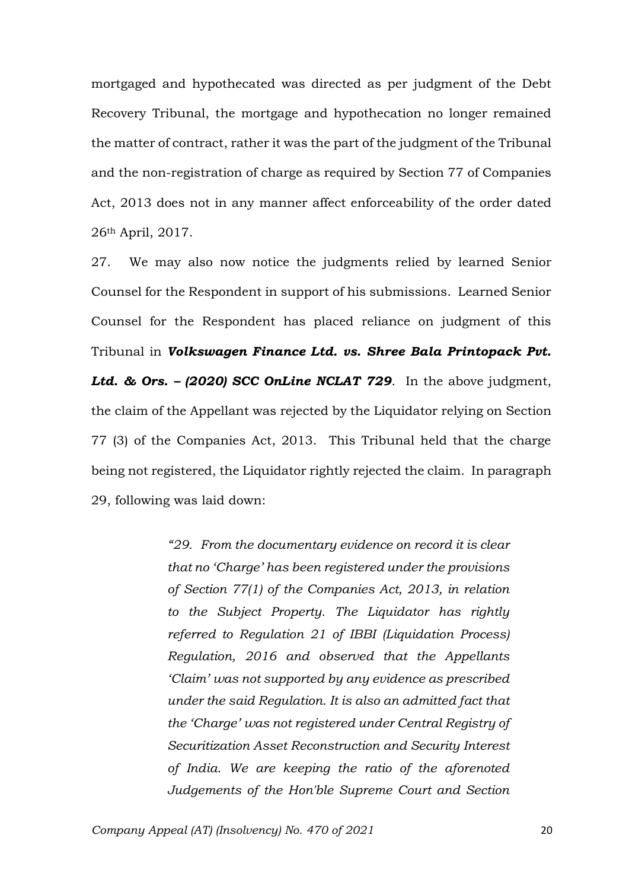mortgaged and hypothecated was directed as per judgment of the Debt Recovery Tribunal, the mortgage and hypothecation no longer remained the matter of contract, rather it was the part of the judgment of the Tribunal and the non-registration of charge as required by Section 77 of Companies Act, 2013 does not in any manner affect enforceability of the order dated 26th April, 2017.

27. We may also now notice the judgments relied by learned Senior Counsel for the Respondent in support of his submissions. Learned Senior Counsel for the Respondent has placed reliance on judgment of this Tribunal in *Volkswagen Finance Ltd. vs. Shree Bala Printopack Pvt. Ltd. & Ors. – (2020) SCC OnLine NCLAT 729*. In the above judgment, the claim of the Appellant was rejected by the Liquidator relying on Section 77 (3) of the Companies Act, 2013. This Tribunal held that the charge being not registered, the Liquidator rightly rejected the claim. In paragraph 29, following was laid down:

> *"29. From the documentary evidence on record it is clear that no 'Charge' has been registered under the provisions of Section 77(1) of the Companies Act, 2013, in relation to the Subject Property. The Liquidator has rightly referred to Regulation 21 of IBBI (Liquidation Process) Regulation, 2016 and observed that the Appellants 'Claim' was not supported by any evidence as prescribed under the said Regulation. It is also an admitted fact that the 'Charge' was not registered under Central Registry of Securitization Asset Reconstruction and Security Interest of India. We are keeping the ratio of the aforenoted Judgements of the Hon'ble Supreme Court and Section*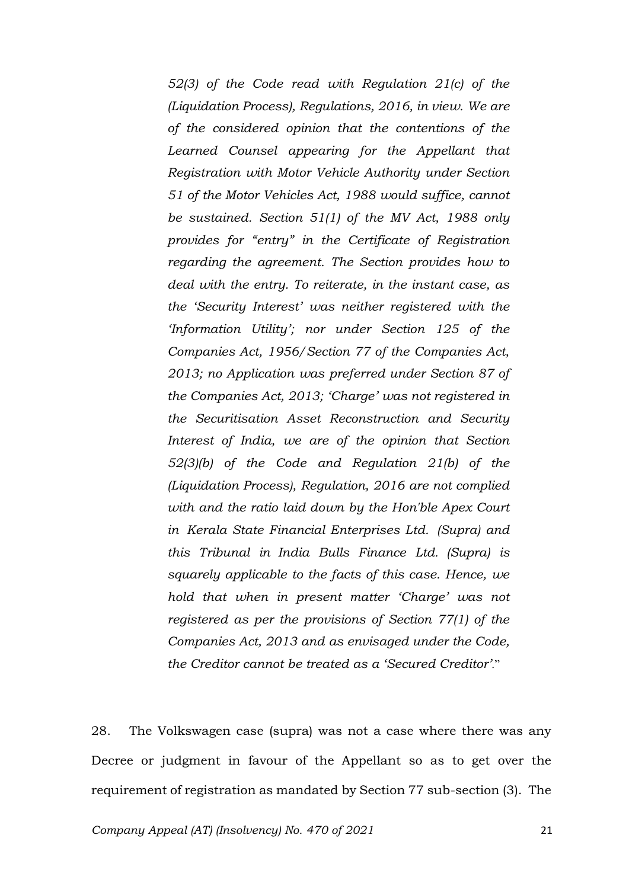*52(3) of the Code read with Regulation 21(c) of the (Liquidation Process), Regulations, 2016, in view. We are of the considered opinion that the contentions of the Learned Counsel appearing for the Appellant that Registration with Motor Vehicle Authority under Section 51 of the Motor Vehicles Act, 1988 would suffice, cannot be sustained. Section 51(1) of the MV Act, 1988 only provides for "entry" in the Certificate of Registration regarding the agreement. The Section provides how to deal with the entry. To reiterate, in the instant case, as the 'Security Interest' was neither registered with the 'Information Utility'; nor under Section 125 of the Companies Act, 1956/Section 77 of the Companies Act, 2013; no Application was preferred under Section 87 of the Companies Act, 2013; 'Charge' was not registered in the Securitisation Asset Reconstruction and Security Interest of India, we are of the opinion that Section 52(3)(b) of the Code and Regulation 21(b) of the (Liquidation Process), Regulation, 2016 are not complied with and the ratio laid down by the Hon'ble Apex Court in Kerala State Financial Enterprises Ltd. (Supra) and this Tribunal in India Bulls Finance Ltd. (Supra) is squarely applicable to the facts of this case. Hence, we hold that when in present matter 'Charge' was not registered as per the provisions of Section 77(1) of the Companies Act, 2013 and as envisaged under the Code, the Creditor cannot be treated as a 'Secured Creditor'*."

28. The Volkswagen case (supra) was not a case where there was any Decree or judgment in favour of the Appellant so as to get over the requirement of registration as mandated by Section 77 sub-section (3). The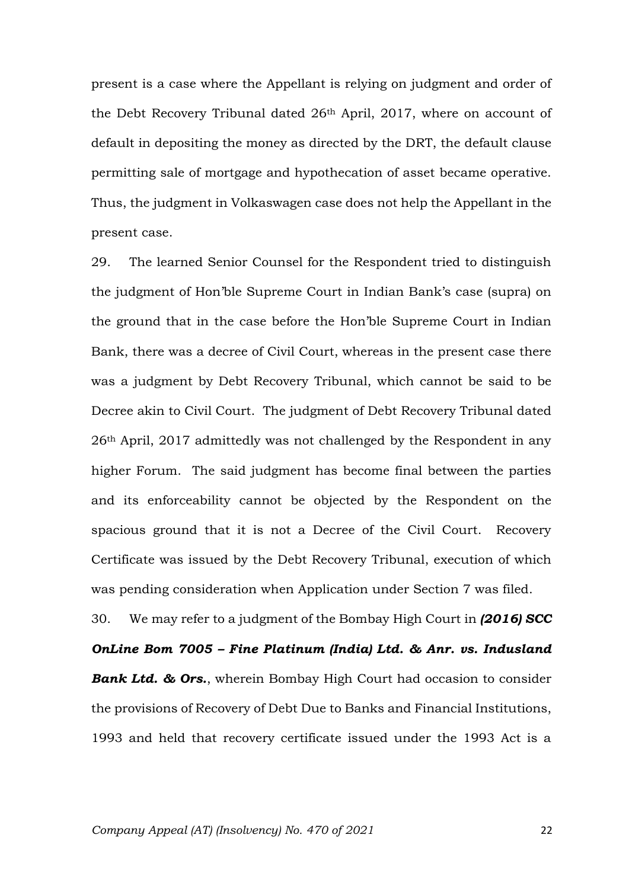present is a case where the Appellant is relying on judgment and order of the Debt Recovery Tribunal dated 26th April, 2017, where on account of default in depositing the money as directed by the DRT, the default clause permitting sale of mortgage and hypothecation of asset became operative. Thus, the judgment in Volkaswagen case does not help the Appellant in the present case.

29. The learned Senior Counsel for the Respondent tried to distinguish the judgment of Hon'ble Supreme Court in Indian Bank's case (supra) on the ground that in the case before the Hon'ble Supreme Court in Indian Bank, there was a decree of Civil Court, whereas in the present case there was a judgment by Debt Recovery Tribunal, which cannot be said to be Decree akin to Civil Court. The judgment of Debt Recovery Tribunal dated 26th April, 2017 admittedly was not challenged by the Respondent in any higher Forum. The said judgment has become final between the parties and its enforceability cannot be objected by the Respondent on the spacious ground that it is not a Decree of the Civil Court. Recovery Certificate was issued by the Debt Recovery Tribunal, execution of which was pending consideration when Application under Section 7 was filed.

30. We may refer to a judgment of the Bombay High Court in *(2016) SCC OnLine Bom 7005 – Fine Platinum (India) Ltd. & Anr. vs. Indusland Bank Ltd. & Ors.*, wherein Bombay High Court had occasion to consider the provisions of Recovery of Debt Due to Banks and Financial Institutions, 1993 and held that recovery certificate issued under the 1993 Act is a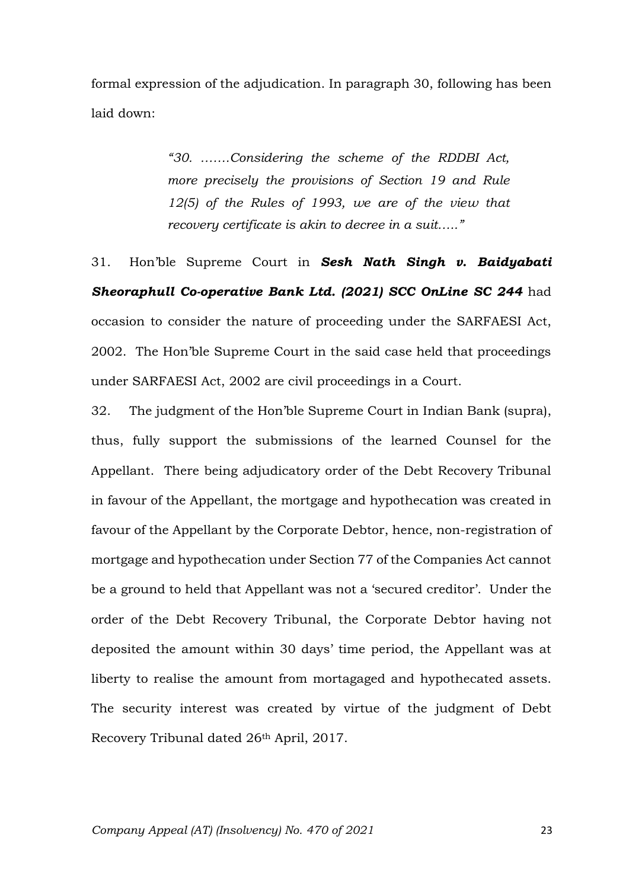formal expression of the adjudication. In paragraph 30, following has been laid down:

> *"30. …….Considering the scheme of the RDDBI Act, more precisely the provisions of Section 19 and Rule 12(5) of the Rules of 1993, we are of the view that recovery certificate is akin to decree in a suit….."*

31. Hon'ble Supreme Court in *Sesh Nath Singh v. Baidyabati Sheoraphull Co-operative Bank Ltd. (2021) SCC OnLine SC 244* had occasion to consider the nature of proceeding under the SARFAESI Act, 2002. The Hon'ble Supreme Court in the said case held that proceedings under SARFAESI Act, 2002 are civil proceedings in a Court.

32. The judgment of the Hon'ble Supreme Court in Indian Bank (supra), thus, fully support the submissions of the learned Counsel for the Appellant. There being adjudicatory order of the Debt Recovery Tribunal in favour of the Appellant, the mortgage and hypothecation was created in favour of the Appellant by the Corporate Debtor, hence, non-registration of mortgage and hypothecation under Section 77 of the Companies Act cannot be a ground to held that Appellant was not a 'secured creditor'. Under the order of the Debt Recovery Tribunal, the Corporate Debtor having not deposited the amount within 30 days' time period, the Appellant was at liberty to realise the amount from mortagaged and hypothecated assets. The security interest was created by virtue of the judgment of Debt Recovery Tribunal dated 26th April, 2017.